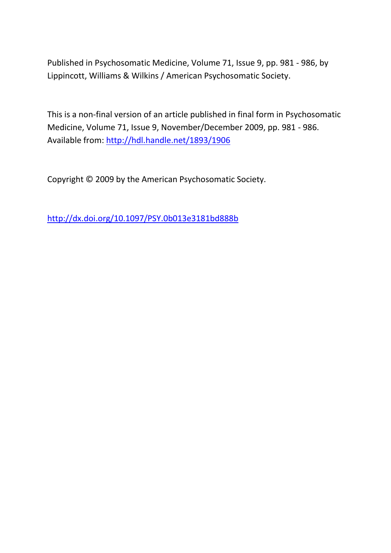Published in Psychosomatic Medicine, Volume 71, Issue 9, pp. 981 - 986, by Lippincott, Williams & Wilkins / American Psychosomatic Society.

This is a non-final version of an article published in final form in Psychosomatic Medicine, Volume 71, Issue 9, November/December 2009, pp. 981 - 986. Available from:<http://hdl.handle.net/1893/1906>

Copyright © 2009 by the American Psychosomatic Society.

<http://dx.doi.org/10.1097/PSY.0b013e3181bd888b>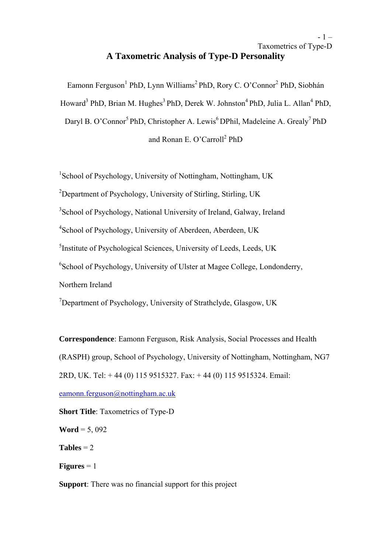# $-1$  – Taxometrics of Type-D **A Taxometric Analysis of Type-D Personality**

Eamonn Ferguson<sup>1</sup> PhD, Lynn Williams<sup>2</sup> PhD, Rory C. O'Connor<sup>2</sup> PhD, Siobhán Howard<sup>3</sup> PhD, Brian M. Hughes<sup>3</sup> PhD, Derek W. Johnston<sup>4</sup> PhD, Julia L. Allan<sup>4</sup> PhD, Daryl B. O'Connor<sup>5</sup> PhD, Christopher A. Lewis<sup>6</sup> DPhil, Madeleine A. Grealy<sup>7</sup> PhD and Ronan E. O'Carroll<sup>2</sup> PhD

<sup>1</sup>School of Psychology, University of Nottingham, Nottingham, UK

<sup>2</sup>Department of Psychology, University of Stirling, Stirling, UK

<sup>3</sup>School of Psychology, National University of Ireland, Galway, Ireland

<sup>4</sup>School of Psychology, University of Aberdeen, Aberdeen, UK

<sup>5</sup>Institute of Psychological Sciences, University of Leeds, Leeds, UK

6 School of Psychology, University of Ulster at Magee College, Londonderry,

Northern Ireland

<sup>7</sup>Department of Psychology, University of Strathclyde, Glasgow, UK

**Correspondence**: Eamonn Ferguson, Risk Analysis, Social Processes and Health (RASPH) group, School of Psychology, University of Nottingham, Nottingham, NG7 2RD, UK. Tel: + 44 (0) 115 9515327. Fax: + 44 (0) 115 9515324. Email:

eamonn.ferguson@nottingham.ac.uk

**Short Title**: Taxometrics of Type-D **Word** = 5, 092 **Tables** =  $2$ **Figures**  $= 1$ **Support**: There was no financial support for this project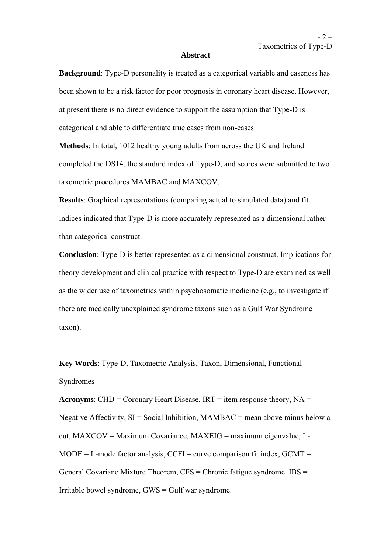#### **Abstract**

**Background**: Type-D personality is treated as a categorical variable and caseness has been shown to be a risk factor for poor prognosis in coronary heart disease. However, at present there is no direct evidence to support the assumption that Type-D is categorical and able to differentiate true cases from non-cases.

**Methods**: In total, 1012 healthy young adults from across the UK and Ireland completed the DS14, the standard index of Type-D, and scores were submitted to two taxometric procedures MAMBAC and MAXCOV.

**Results**: Graphical representations (comparing actual to simulated data) and fit indices indicated that Type-D is more accurately represented as a dimensional rather than categorical construct.

**Conclusion**: Type-D is better represented as a dimensional construct. Implications for theory development and clinical practice with respect to Type-D are examined as well as the wider use of taxometrics within psychosomatic medicine (e.g., to investigate if there are medically unexplained syndrome taxons such as a Gulf War Syndrome taxon).

**Key Words**: Type-D, Taxometric Analysis, Taxon, Dimensional, Functional Syndromes

**Acronyms**: CHD = Coronary Heart Disease,  $IRT = item$  response theory,  $NA =$ Negative Affectivity,  $SI = Social Inhibition, MAMBAC = mean above minus below a$ cut, MAXCOV = Maximum Covariance, MAXEIG = maximum eigenvalue, L- $MODE = L$ -mode factor analysis, CCFI = curve comparison fit index, GCMT = General Covariane Mixture Theorem,  $CFS =$ Chronic fatigue syndrome.  $IBS =$ Irritable bowel syndrome, GWS = Gulf war syndrome.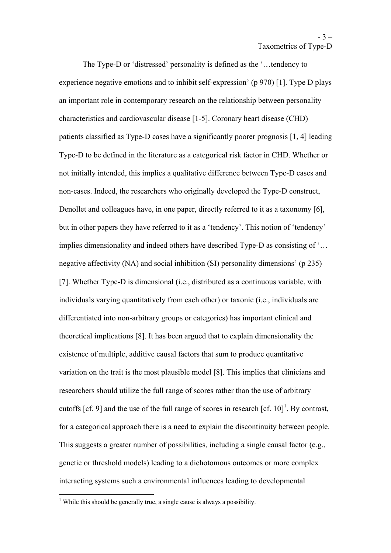The Type-D or 'distressed' personality is defined as the '…tendency to experience negative emotions and to inhibit self-expression' (p 970) [1]. Type D plays an important role in contemporary research on the relationship between personality characteristics and cardiovascular disease [1-5]. Coronary heart disease (CHD) patients classified as Type-D cases have a significantly poorer prognosis [1, 4] leading Type-D to be defined in the literature as a categorical risk factor in CHD. Whether or not initially intended, this implies a qualitative difference between Type-D cases and non-cases. Indeed, the researchers who originally developed the Type-D construct, Denollet and colleagues have, in one paper, directly referred to it as a taxonomy [6], but in other papers they have referred to it as a 'tendency'. This notion of 'tendency' implies dimensionality and indeed others have described Type-D as consisting of '… negative affectivity (NA) and social inhibition (SI) personality dimensions' (p 235) [7]. Whether Type-D is dimensional (i.e., distributed as a continuous variable, with individuals varying quantitatively from each other) or taxonic (i.e., individuals are differentiated into non-arbitrary groups or categories) has important clinical and theoretical implications [8]. It has been argued that to explain dimensionality the existence of multiple, additive causal factors that sum to produce quantitative variation on the trait is the most plausible model [8]. This implies that clinicians and researchers should utilize the full range of scores rather than the use of arbitrary cutoffs [cf. 9] and the use of the full range of scores in research  $\left[cf. 10\right]^1$ . By contrast, for a categorical approach there is a need to explain the discontinuity between people. This suggests a greater number of possibilities, including a single causal factor (e.g., genetic or threshold models) leading to a dichotomous outcomes or more complex interacting systems such a environmental influences leading to developmental

<sup>&</sup>lt;sup>1</sup> While this should be generally true, a single cause is always a possibility.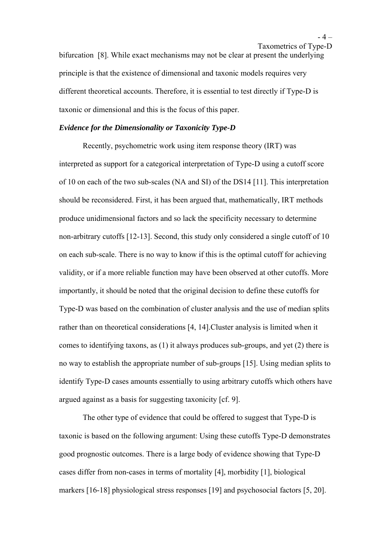$-4-$ Taxometrics of Type-D

bifurcation [8]. While exact mechanisms may not be clear at present the underlying principle is that the existence of dimensional and taxonic models requires very different theoretical accounts. Therefore, it is essential to test directly if Type-D is taxonic or dimensional and this is the focus of this paper.

## *Evidence for the Dimensionality or Taxonicity Type-D*

Recently, psychometric work using item response theory (IRT) was interpreted as support for a categorical interpretation of Type-D using a cutoff score of 10 on each of the two sub-scales (NA and SI) of the DS14 [11]. This interpretation should be reconsidered. First, it has been argued that, mathematically, IRT methods produce unidimensional factors and so lack the specificity necessary to determine non-arbitrary cutoffs [12-13]. Second, this study only considered a single cutoff of 10 on each sub-scale. There is no way to know if this is the optimal cutoff for achieving validity, or if a more reliable function may have been observed at other cutoffs. More importantly, it should be noted that the original decision to define these cutoffs for Type-D was based on the combination of cluster analysis and the use of median splits rather than on theoretical considerations [4, 14].Cluster analysis is limited when it comes to identifying taxons, as (1) it always produces sub-groups, and yet (2) there is no way to establish the appropriate number of sub-groups [15]. Using median splits to identify Type-D cases amounts essentially to using arbitrary cutoffs which others have argued against as a basis for suggesting taxonicity [cf. 9].

The other type of evidence that could be offered to suggest that Type-D is taxonic is based on the following argument: Using these cutoffs Type-D demonstrates good prognostic outcomes. There is a large body of evidence showing that Type-D cases differ from non-cases in terms of mortality [4], morbidity [1], biological markers [16-18] physiological stress responses [19] and psychosocial factors [5, 20].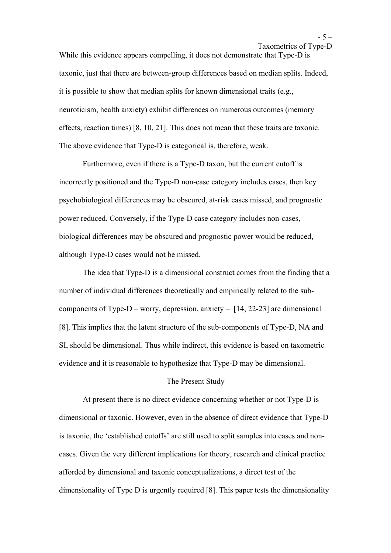While this evidence appears compelling, it does not demonstrate that Type-D is taxonic, just that there are between-group differences based on median splits. Indeed, it is possible to show that median splits for known dimensional traits (e.g., neuroticism, health anxiety) exhibit differences on numerous outcomes (memory effects, reaction times) [8, 10, 21]. This does not mean that these traits are taxonic. The above evidence that Type-D is categorical is, therefore, weak.

Furthermore, even if there is a Type-D taxon, but the current cutoff is incorrectly positioned and the Type-D non-case category includes cases, then key psychobiological differences may be obscured, at-risk cases missed, and prognostic power reduced. Conversely, if the Type-D case category includes non-cases, biological differences may be obscured and prognostic power would be reduced, although Type-D cases would not be missed.

The idea that Type-D is a dimensional construct comes from the finding that a number of individual differences theoretically and empirically related to the subcomponents of Type-D – worry, depression, anxiety –  $[14, 22-23]$  are dimensional [8]. This implies that the latent structure of the sub-components of Type-D, NA and SI, should be dimensional. Thus while indirect, this evidence is based on taxometric evidence and it is reasonable to hypothesize that Type-D may be dimensional.

## The Present Study

At present there is no direct evidence concerning whether or not Type-D is dimensional or taxonic. However, even in the absence of direct evidence that Type-D is taxonic, the 'established cutoffs' are still used to split samples into cases and noncases. Given the very different implications for theory, research and clinical practice afforded by dimensional and taxonic conceptualizations, a direct test of the dimensionality of Type D is urgently required [8]. This paper tests the dimensionality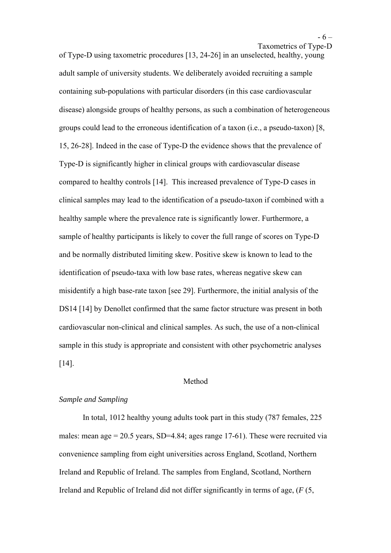Taxometrics of Type-D

of Type-D using taxometric procedures [13, 24-26] in an unselected, healthy, young adult sample of university students. We deliberately avoided recruiting a sample containing sub-populations with particular disorders (in this case cardiovascular disease) alongside groups of healthy persons, as such a combination of heterogeneous groups could lead to the erroneous identification of a taxon (i.e., a pseudo-taxon) [8, 15, 26-28]. Indeed in the case of Type-D the evidence shows that the prevalence of Type-D is significantly higher in clinical groups with cardiovascular disease compared to healthy controls [14]. This increased prevalence of Type-D cases in clinical samples may lead to the identification of a pseudo-taxon if combined with a healthy sample where the prevalence rate is significantly lower. Furthermore, a sample of healthy participants is likely to cover the full range of scores on Type-D and be normally distributed limiting skew. Positive skew is known to lead to the identification of pseudo-taxa with low base rates, whereas negative skew can misidentify a high base-rate taxon [see 29]. Furthermore, the initial analysis of the DS14 [14] by Denollet confirmed that the same factor structure was present in both cardiovascular non-clinical and clinical samples. As such, the use of a non-clinical sample in this study is appropriate and consistent with other psychometric analyses [14].

#### Method

### *Sample and Sampling*

In total, 1012 healthy young adults took part in this study (787 females, 225 males: mean age  $= 20.5$  years, SD=4.84; ages range 17-61). These were recruited via convenience sampling from eight universities across England, Scotland, Northern Ireland and Republic of Ireland. The samples from England, Scotland, Northern Ireland and Republic of Ireland did not differ significantly in terms of age, (*F* (5,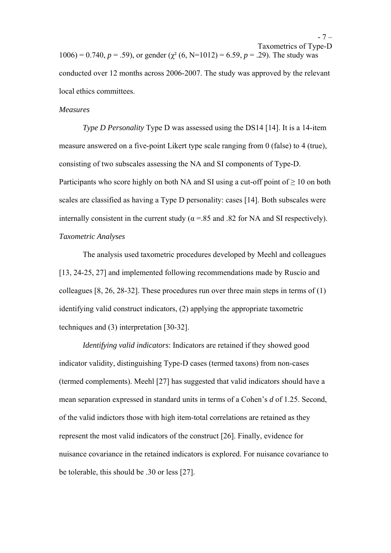Taxometrics of Type-D 1006) = 0.740,  $p = .59$ ), or gender ( $\gamma^2$  (6, N=1012) = 6.59,  $p = .29$ ). The study was conducted over 12 months across 2006-2007. The study was approved by the relevant local ethics committees.

#### *Measures*

*Type D Personality* Type D was assessed using the DS14 [14]. It is a 14-item measure answered on a five-point Likert type scale ranging from 0 (false) to 4 (true), consisting of two subscales assessing the NA and SI components of Type-D. Participants who score highly on both NA and SI using a cut-off point of  $> 10$  on both scales are classified as having a Type D personality: cases [14]. Both subscales were internally consistent in the current study ( $\alpha$  =.85 and .82 for NA and SI respectively). *Taxometric Analyses* 

 The analysis used taxometric procedures developed by Meehl and colleagues [13, 24-25, 27] and implemented following recommendations made by Ruscio and colleagues [8, 26, 28-32]. These procedures run over three main steps in terms of (1) identifying valid construct indicators, (2) applying the appropriate taxometric techniques and (3) interpretation [30-32].

*Identifying valid indicators*: Indicators are retained if they showed good indicator validity, distinguishing Type-D cases (termed taxons) from non-cases (termed complements). Meehl [27] has suggested that valid indicators should have a mean separation expressed in standard units in terms of a Cohen's *d* of 1.25. Second, of the valid indictors those with high item-total correlations are retained as they represent the most valid indicators of the construct [26]. Finally, evidence for nuisance covariance in the retained indicators is explored. For nuisance covariance to be tolerable, this should be .30 or less [27].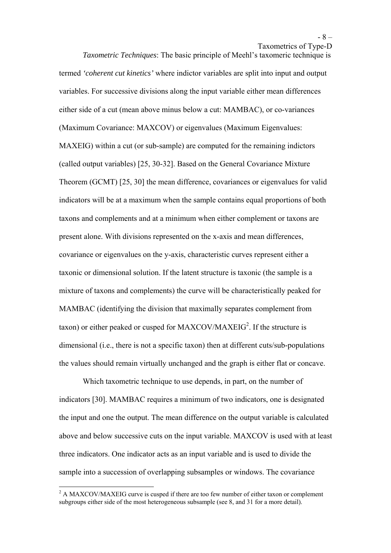*Taxometric Techniques*: The basic principle of Meehl's taxomeric technique is termed *'coherent cut kinetics'* where indictor variables are split into input and output variables. For successive divisions along the input variable either mean differences either side of a cut (mean above minus below a cut: MAMBAC), or co-variances (Maximum Covariance: MAXCOV) or eigenvalues (Maximum Eigenvalues: MAXEIG) within a cut (or sub-sample) are computed for the remaining indictors (called output variables) [25, 30-32]. Based on the General Covariance Mixture Theorem (GCMT) [25, 30] the mean difference, covariances or eigenvalues for valid indicators will be at a maximum when the sample contains equal proportions of both taxons and complements and at a minimum when either complement or taxons are present alone. With divisions represented on the x-axis and mean differences, covariance or eigenvalues on the y-axis, characteristic curves represent either a taxonic or dimensional solution. If the latent structure is taxonic (the sample is a mixture of taxons and complements) the curve will be characteristically peaked for MAMBAC (identifying the division that maximally separates complement from taxon) or either peaked or cusped for MAXCOV/MAXEIG<sup>2</sup>. If the structure is dimensional (i.e., there is not a specific taxon) then at different cuts/sub-populations the values should remain virtually unchanged and the graph is either flat or concave.

Which taxometric technique to use depends, in part, on the number of indicators [30]. MAMBAC requires a minimum of two indicators, one is designated the input and one the output. The mean difference on the output variable is calculated above and below successive cuts on the input variable. MAXCOV is used with at least three indicators. One indicator acts as an input variable and is used to divide the sample into a succession of overlapping subsamples or windows. The covariance

 $\overline{a}$ 

 $2$  A MAXCOV/MAXEIG curve is cusped if there are too few number of either taxon or complement subgroups either side of the most heterogeneous subsample (see 8, and 31 for a more detail).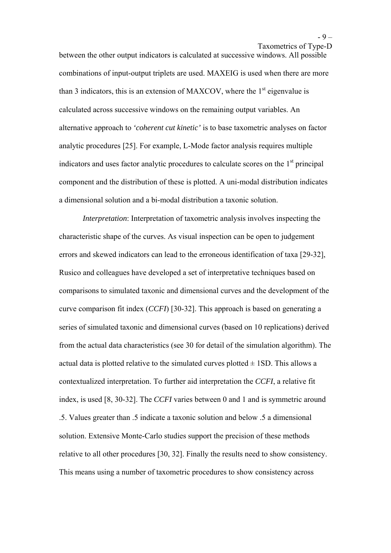between the other output indicators is calculated at successive windows. All possible combinations of input-output triplets are used. MAXEIG is used when there are more than 3 indicators, this is an extension of MAXCOV, where the  $1<sup>st</sup>$  eigenvalue is calculated across successive windows on the remaining output variables. An alternative approach to *'coherent cut kinetic'* is to base taxometric analyses on factor analytic procedures [25]. For example, L-Mode factor analysis requires multiple indicators and uses factor analytic procedures to calculate scores on the  $1<sup>st</sup>$  principal component and the distribution of these is plotted. A uni-modal distribution indicates a dimensional solution and a bi-modal distribution a taxonic solution.

*Interpretation*: Interpretation of taxometric analysis involves inspecting the characteristic shape of the curves. As visual inspection can be open to judgement errors and skewed indicators can lead to the erroneous identification of taxa [29-32], Rusico and colleagues have developed a set of interpretative techniques based on comparisons to simulated taxonic and dimensional curves and the development of the curve comparison fit index (*CCFI*) [30-32]. This approach is based on generating a series of simulated taxonic and dimensional curves (based on 10 replications) derived from the actual data characteristics (see 30 for detail of the simulation algorithm). The actual data is plotted relative to the simulated curves plotted  $\pm$  1SD. This allows a contextualized interpretation. To further aid interpretation the *CCFI*, a relative fit index, is used [8, 30-32]. The *CCFI* varies between 0 and 1 and is symmetric around .5. Values greater than .5 indicate a taxonic solution and below .5 a dimensional solution. Extensive Monte-Carlo studies support the precision of these methods relative to all other procedures [30, 32]. Finally the results need to show consistency. This means using a number of taxometric procedures to show consistency across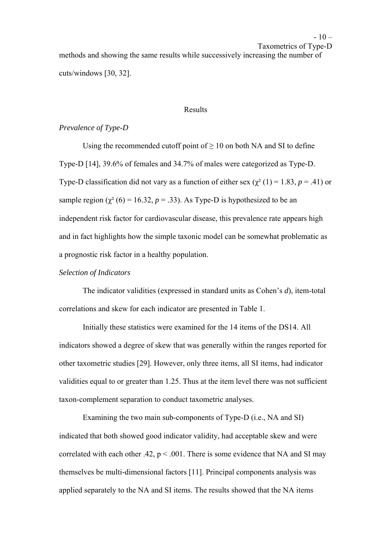$-10-$ Taxometrics of Type-D

methods and showing the same results while successively increasing the number of cuts/windows [30, 32].

#### Results

## *Prevalence of Type-D*

Using the recommended cutoff point of  $\geq 10$  on both NA and SI to define Type-D [14], 39.6% of females and 34.7% of males were categorized as Type-D. Type-D classification did not vary as a function of either sex  $(\chi^2(1) = 1.83, p = .41)$  or sample region ( $\chi^2$  (6) = 16.32, *p* = .33). As Type-D is hypothesized to be an independent risk factor for cardiovascular disease, this prevalence rate appears high and in fact highlights how the simple taxonic model can be somewhat problematic as a prognostic risk factor in a healthy population.

# *Selection of Indicators*

The indicator validities (expressed in standard units as Cohen's *d*), item-total correlations and skew for each indicator are presented in Table 1.

Initially these statistics were examined for the 14 items of the DS14. All indicators showed a degree of skew that was generally within the ranges reported for other taxometric studies [29]. However, only three items, all SI items, had indicator validities equal to or greater than 1.25. Thus at the item level there was not sufficient taxon-complement separation to conduct taxometric analyses.

Examining the two main sub-components of Type-D (i.e., NA and SI) indicated that both showed good indicator validity, had acceptable skew and were correlated with each other .42,  $p < .001$ . There is some evidence that NA and SI may themselves be multi-dimensional factors [11]. Principal components analysis was applied separately to the NA and SI items. The results showed that the NA items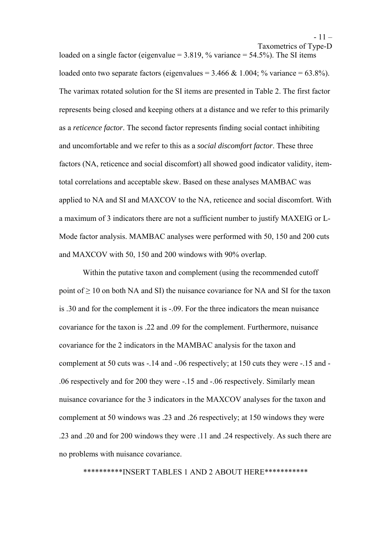Taxometrics of Type-D

loaded on a single factor (eigenvalue  $= 3.819$ , % variance  $= 54.5\%$ ). The SI items loaded onto two separate factors (eigenvalues =  $3.466 \& 1.004$ ; % variance =  $63.8\%$ ). The varimax rotated solution for the SI items are presented in Table 2. The first factor represents being closed and keeping others at a distance and we refer to this primarily as a *reticence factor*. The second factor represents finding social contact inhibiting and uncomfortable and we refer to this as a *social discomfort factor*. These three factors (NA, reticence and social discomfort) all showed good indicator validity, itemtotal correlations and acceptable skew. Based on these analyses MAMBAC was applied to NA and SI and MAXCOV to the NA, reticence and social discomfort. With a maximum of 3 indicators there are not a sufficient number to justify MAXEIG or L-Mode factor analysis. MAMBAC analyses were performed with 50, 150 and 200 cuts and MAXCOV with 50, 150 and 200 windows with 90% overlap.

Within the putative taxon and complement (using the recommended cutoff point of  $\geq 10$  on both NA and SI) the nuisance covariance for NA and SI for the taxon is .30 and for the complement it is -.09. For the three indicators the mean nuisance covariance for the taxon is .22 and .09 for the complement. Furthermore, nuisance covariance for the 2 indicators in the MAMBAC analysis for the taxon and complement at 50 cuts was -.14 and -.06 respectively; at 150 cuts they were -.15 and - .06 respectively and for 200 they were -.15 and -.06 respectively. Similarly mean nuisance covariance for the 3 indicators in the MAXCOV analyses for the taxon and complement at 50 windows was .23 and .26 respectively; at 150 windows they were .23 and .20 and for 200 windows they were .11 and .24 respectively. As such there are no problems with nuisance covariance.

\*\*\*\*\*\*\*\*\*\*INSERT TABLES 1 AND 2 ABOUT HERE\*\*\*\*\*\*\*\*\*\*\*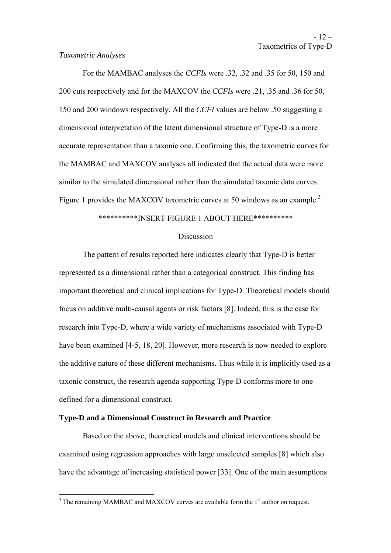#### *Taxometric Analyses*

 For the MAMBAC analyses the *CCFIs* were .32, .32 and .35 for 50, 150 and 200 cuts respectively and for the MAXCOV the *CCFIs* were .21, .35 and .36 for 50, 150 and 200 windows respectively. All the *CCFI* values are below .50 suggesting a dimensional interpretation of the latent dimensional structure of Type-D is a more accurate representation than a taxonic one. Confirming this, the taxometric curves for the MAMBAC and MAXCOV analyses all indicated that the actual data were more similar to the simulated dimensional rather than the simulated taxonic data curves. Figure 1 provides the MAXCOV taxometric curves at 50 windows as an example.<sup>3</sup>

## \*\*\*\*\*\*\*\*\*\*INSERT FIGURE 1 ABOUT HERE\*\*\*\*\*\*\*\*\*\*

## **Discussion**

 The pattern of results reported here indicates clearly that Type-D is better represented as a dimensional rather than a categorical construct. This finding has important theoretical and clinical implications for Type-D. Theoretical models should focus on additive multi-causal agents or risk factors [8]. Indeed, this is the case for research into Type-D, where a wide variety of mechanisms associated with Type-D have been examined [4-5, 18, 20]. However, more research is now needed to explore the additive nature of these different mechanisms. Thus while it is implicitly used as a taxonic construct, the research agenda supporting Type-D conforms more to one defined for a dimensional construct.

## **Type-D and a Dimensional Construct in Research and Practice**

Based on the above, theoretical models and clinical interventions should be examined using regression approaches with large unselected samples [8] which also have the advantage of increasing statistical power [33]. One of the main assumptions

<sup>&</sup>lt;sup>3</sup> The remaining MAMBAC and MAXCOV curves are available form the 1<sup>st</sup> author on request.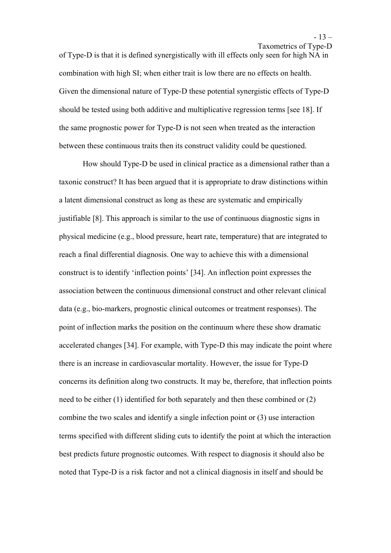of Type-D is that it is defined synergistically with ill effects only seen for high NA in combination with high SI; when either trait is low there are no effects on health. Given the dimensional nature of Type-D these potential synergistic effects of Type-D should be tested using both additive and multiplicative regression terms [see 18]. If the same prognostic power for Type-D is not seen when treated as the interaction between these continuous traits then its construct validity could be questioned.

How should Type-D be used in clinical practice as a dimensional rather than a taxonic construct? It has been argued that it is appropriate to draw distinctions within a latent dimensional construct as long as these are systematic and empirically justifiable [8]. This approach is similar to the use of continuous diagnostic signs in physical medicine (e.g., blood pressure, heart rate, temperature) that are integrated to reach a final differential diagnosis. One way to achieve this with a dimensional construct is to identify 'inflection points' [34]. An inflection point expresses the association between the continuous dimensional construct and other relevant clinical data (e.g., bio-markers, prognostic clinical outcomes or treatment responses). The point of inflection marks the position on the continuum where these show dramatic accelerated changes [34]. For example, with Type-D this may indicate the point where there is an increase in cardiovascular mortality. However, the issue for Type-D concerns its definition along two constructs. It may be, therefore, that inflection points need to be either (1) identified for both separately and then these combined or (2) combine the two scales and identify a single infection point or (3) use interaction terms specified with different sliding cuts to identify the point at which the interaction best predicts future prognostic outcomes. With respect to diagnosis it should also be noted that Type-D is a risk factor and not a clinical diagnosis in itself and should be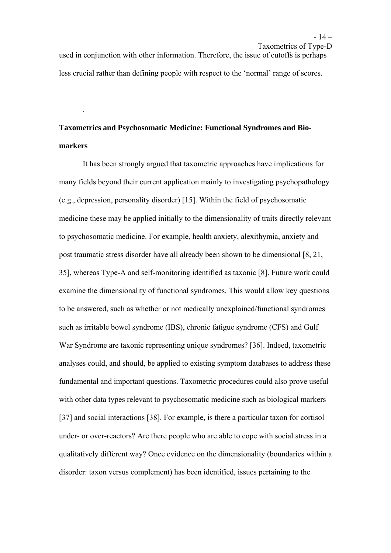Taxometrics of Type-D used in conjunction with other information. Therefore, the issue of cutoffs is perhaps less crucial rather than defining people with respect to the 'normal' range of scores.

# **Taxometrics and Psychosomatic Medicine: Functional Syndromes and Biomarkers**

.

It has been strongly argued that taxometric approaches have implications for many fields beyond their current application mainly to investigating psychopathology (e.g., depression, personality disorder) [15]. Within the field of psychosomatic medicine these may be applied initially to the dimensionality of traits directly relevant to psychosomatic medicine. For example, health anxiety, alexithymia, anxiety and post traumatic stress disorder have all already been shown to be dimensional [8, 21, 35], whereas Type-A and self-monitoring identified as taxonic [8]. Future work could examine the dimensionality of functional syndromes. This would allow key questions to be answered, such as whether or not medically unexplained/functional syndromes such as irritable bowel syndrome (IBS), chronic fatigue syndrome (CFS) and Gulf War Syndrome are taxonic representing unique syndromes? [36]. Indeed, taxometric analyses could, and should, be applied to existing symptom databases to address these fundamental and important questions. Taxometric procedures could also prove useful with other data types relevant to psychosomatic medicine such as biological markers [37] and social interactions [38]. For example, is there a particular taxon for cortisol under- or over-reactors? Are there people who are able to cope with social stress in a qualitatively different way? Once evidence on the dimensionality (boundaries within a disorder: taxon versus complement) has been identified, issues pertaining to the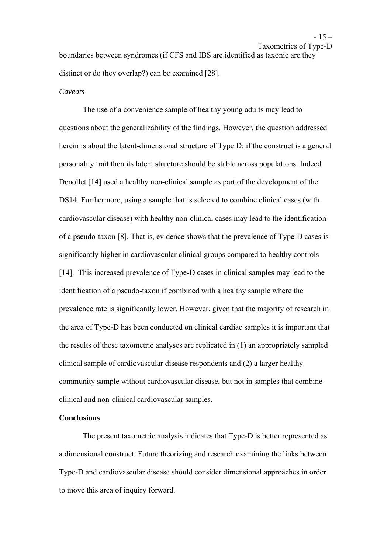Taxometrics of Type-D

boundaries between syndromes (if CFS and IBS are identified as taxonic are they distinct or do they overlap?) can be examined [28].

# *Caveats*

 The use of a convenience sample of healthy young adults may lead to questions about the generalizability of the findings. However, the question addressed herein is about the latent-dimensional structure of Type D: if the construct is a general personality trait then its latent structure should be stable across populations. Indeed Denollet [14] used a healthy non-clinical sample as part of the development of the DS14. Furthermore, using a sample that is selected to combine clinical cases (with cardiovascular disease) with healthy non-clinical cases may lead to the identification of a pseudo-taxon [8]. That is, evidence shows that the prevalence of Type-D cases is significantly higher in cardiovascular clinical groups compared to healthy controls [14]. This increased prevalence of Type-D cases in clinical samples may lead to the identification of a pseudo-taxon if combined with a healthy sample where the prevalence rate is significantly lower. However, given that the majority of research in the area of Type-D has been conducted on clinical cardiac samples it is important that the results of these taxometric analyses are replicated in (1) an appropriately sampled clinical sample of cardiovascular disease respondents and (2) a larger healthy community sample without cardiovascular disease, but not in samples that combine clinical and non-clinical cardiovascular samples.

## **Conclusions**

The present taxometric analysis indicates that Type-D is better represented as a dimensional construct. Future theorizing and research examining the links between Type-D and cardiovascular disease should consider dimensional approaches in order to move this area of inquiry forward.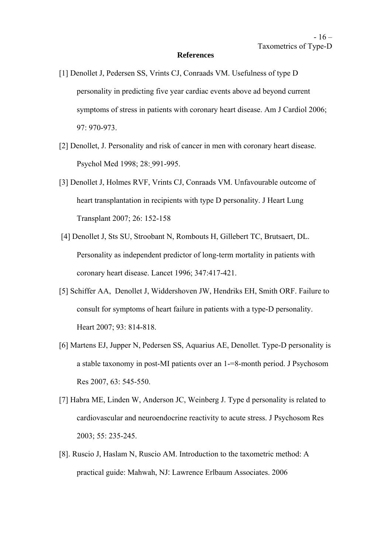#### **References**

- [1] Denollet J, Pedersen SS, Vrints CJ, Conraads VM. Usefulness of type D personality in predicting five year cardiac events above ad beyond current symptoms of stress in patients with coronary heart disease. Am J Cardiol 2006; 97: 970-973.
- [2] Denollet, J. Personality and risk of cancer in men with coronary heart disease. Psychol Med 1998; 28: 991-995.
- [3] Denollet J, Holmes RVF, Vrints CJ, Conraads VM. Unfavourable outcome of heart transplantation in recipients with type D personality. J Heart Lung Transplant 2007; 26: 152-158
- [4] Denollet J, Sts SU, Stroobant N, Rombouts H, Gillebert TC, Brutsaert, DL. Personality as independent predictor of long-term mortality in patients with coronary heart disease. Lancet 1996; 347:417-421.
- [5] Schiffer AA, Denollet J, Widdershoven JW, Hendriks EH, Smith ORF. Failure to consult for symptoms of heart failure in patients with a type-D personality. Heart 2007; 93: 814-818.
- [6] Martens EJ, Jupper N, Pedersen SS, Aquarius AE, Denollet. Type-D personality is a stable taxonomy in post-MI patients over an 1-=8-month period. J Psychosom Res 2007, 63: 545-550.
- [7] Habra ME, Linden W, Anderson JC, Weinberg J. Type d personality is related to cardiovascular and neuroendocrine reactivity to acute stress. J Psychosom Res 2003; 55: 235-245.
- [8]. Ruscio J, Haslam N, Ruscio AM. Introduction to the taxometric method: A practical guide: Mahwah, NJ: Lawrence Erlbaum Associates. 2006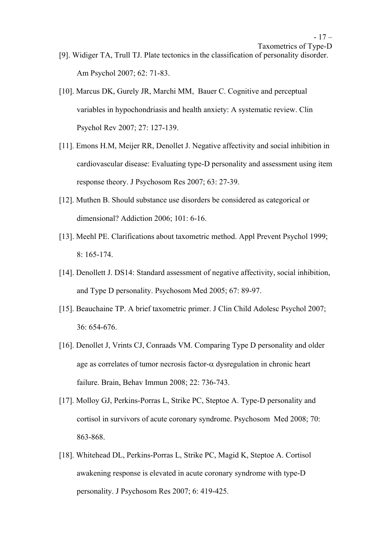- [9]. Widiger TA, Trull TJ. Plate tectonics in the classification of personality disorder. Am Psychol 2007; 62: 71-83.
- [10]. Marcus DK, Gurely JR, Marchi MM, Bauer C. Cognitive and perceptual variables in hypochondriasis and health anxiety: A systematic review. Clin Psychol Rev 2007; 27: 127-139.
- [11]. Emons H.M, Meijer RR, Denollet J. Negative affectivity and social inhibition in cardiovascular disease: Evaluating type-D personality and assessment using item response theory. J Psychosom Res 2007; 63: 27-39.
- [12]. Muthen B. Should substance use disorders be considered as categorical or dimensional? Addiction 2006; 101: 6-16.
- [13]. Meehl PE. Clarifications about taxometric method. Appl Prevent Psychol 1999; 8: 165-174.
- [14]. Denollett J. DS14: Standard assessment of negative affectivity, social inhibition, and Type D personality. Psychosom Med 2005; 67: 89-97.
- [15]. Beauchaine TP. A brief taxometric primer. J Clin Child Adolesc Psychol 2007; 36: 654-676.
- [16]. Denollet J, Vrints CJ, Conraads VM. Comparing Type D personality and older age as correlates of tumor necrosis factor- $\alpha$  dysregulation in chronic heart failure. Brain, Behav Immun 2008; 22: 736-743.
- [17]. Molloy GJ, Perkins-Porras L, Strike PC, Steptoe A. Type-D personality and cortisol in survivors of acute coronary syndrome. Psychosom Med 2008; 70: 863-868.
- [18]. Whitehead DL, Perkins-Porras L, Strike PC, Magid K, Steptoe A. Cortisol awakening response is elevated in acute coronary syndrome with type-D personality. J Psychosom Res 2007; 6: 419-425.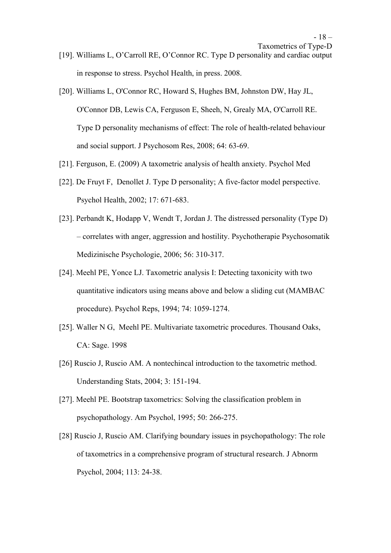- [19]. Williams L, O'Carroll RE, O'Connor RC. Type D personality and cardiac output in response to stress. Psychol Health, in press. 2008.
- [20]. Williams L, O'Connor RC, Howard S, Hughes BM, Johnston DW, Hay JL, O'Connor DB, Lewis CA, Ferguson E, Sheeh, N, Grealy MA, O'Carroll RE. Type D personality mechanisms of effect: The role of health-related behaviour and social support. J Psychosom Res, 2008; 64: 63-69.
- [21]. Ferguson, E. (2009) A taxometric analysis of health anxiety. Psychol Med
- [22]. De Fruyt F, Denollet J. Type D personality; A five-factor model perspective. Psychol Health, 2002; 17: 671-683.
- [23]. Perbandt K, Hodapp V, Wendt T, Jordan J. The distressed personality (Type D) – correlates with anger, aggression and hostility. Psychotherapie Psychosomatik Medizinische Psychologie, 2006; 56: 310-317.
- [24]. Meehl PE, Yonce LJ. Taxometric analysis I: Detecting taxonicity with two quantitative indicators using means above and below a sliding cut (MAMBAC procedure). Psychol Reps, 1994; 74: 1059-1274.
- [25]. Waller N G, Meehl PE. Multivariate taxometric procedures. Thousand Oaks, CA: Sage. 1998
- [26] Ruscio J, Ruscio AM. A nontechincal introduction to the taxometric method. Understanding Stats, 2004; 3: 151-194.
- [27]. Meehl PE. Bootstrap taxometrics: Solving the classification problem in psychopathology. Am Psychol, 1995; 50: 266-275.
- [28] Ruscio J, Ruscio AM. Clarifying boundary issues in psychopathology: The role of taxometrics in a comprehensive program of structural research. J Abnorm Psychol, 2004; 113: 24-38.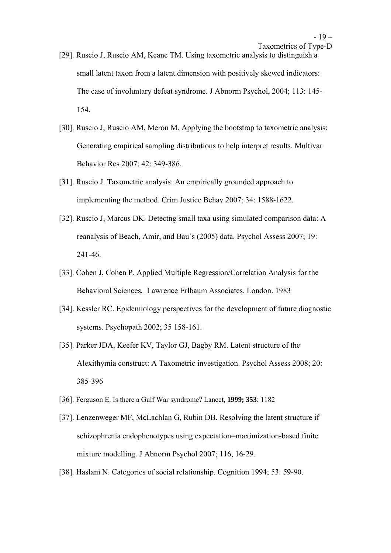small latent taxon from a latent dimension with positively skewed indicators: The case of involuntary defeat syndrome. J Abnorm Psychol, 2004; 113: 145- 154.

- [30]. Ruscio J, Ruscio AM, Meron M. Applying the bootstrap to taxometric analysis: Generating empirical sampling distributions to help interpret results. Multivar Behavior Res 2007; 42: 349-386.
- [31]. Ruscio J. Taxometric analysis: An empirically grounded approach to implementing the method. Crim Justice Behav 2007; 34: 1588-1622.
- [32]. Ruscio J, Marcus DK. Detectng small taxa using simulated comparison data: A reanalysis of Beach, Amir, and Bau's (2005) data. Psychol Assess 2007; 19: 241-46.
- [33]. Cohen J, Cohen P. Applied Multiple Regression/Correlation Analysis for the Behavioral Sciences*.* Lawrence Erlbaum Associates. London. 1983
- [34]. Kessler RC. Epidemiology perspectives for the development of future diagnostic systems. Psychopath 2002; 35 158-161.
- [35]. Parker JDA, Keefer KV, Taylor GJ, Bagby RM. Latent structure of the Alexithymia construct: A Taxometric investigation. Psychol Assess 2008; 20: 385-396
- [36]. Ferguson E. Is there a Gulf War syndrome? Lancet*,* **1999; 353**: 1182
- [37]. Lenzenweger MF, McLachlan G, Rubin DB. Resolving the latent structure if schizophrenia endophenotypes using expectation=maximization-based finite mixture modelling. J Abnorm Psychol 2007; 116, 16-29.
- [38]. Haslam N. Categories of social relationship. Cognition 1994; 53: 59-90.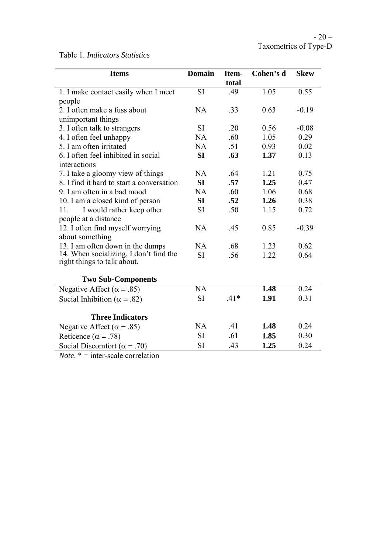Table 1. *Indicators Statistics* 

| <b>Items</b>                              | <b>Domain</b> | Item-  | Cohen's d | <b>Skew</b> |
|-------------------------------------------|---------------|--------|-----------|-------------|
|                                           |               | total  |           |             |
| 1. I make contact easily when I meet      | <b>SI</b>     | .49    | 1.05      | 0.55        |
| people                                    |               |        |           |             |
| 2. I often make a fuss about              | NA            | .33    | 0.63      | $-0.19$     |
| unimportant things                        |               |        |           |             |
| 3. I often talk to strangers              | <b>SI</b>     | .20    | 0.56      | $-0.08$     |
| 4. I often feel unhappy                   | NA            | .60    | 1.05      | 0.29        |
| 5. I am often irritated                   | NA            | .51    | 0.93      | 0.02        |
| 6. I often feel inhibited in social       | SI            | .63    | 1.37      | 0.13        |
| interactions                              |               |        |           |             |
| 7. I take a gloomy view of things         | <b>NA</b>     | .64    | 1.21      | 0.75        |
| 8. I find it hard to start a conversation | SI            | .57    | 1.25      | 0.47        |
| 9. I am often in a bad mood               | NA            | .60    | 1.06      | 0.68        |
| 10. I am a closed kind of person          | SI            | .52    | 1.26      | 0.38        |
| I would rather keep other<br>11.          | <b>SI</b>     | .50    | 1.15      | 0.72        |
| people at a distance                      |               |        |           |             |
| 12. I often find myself worrying          | NA            | .45    | 0.85      | $-0.39$     |
| about something                           |               |        |           |             |
| 13. I am often down in the dumps          | NA            | .68    | 1.23      | 0.62        |
| 14. When socializing, I don't find the    | <b>SI</b>     | .56    | 1.22      | 0.64        |
| right things to talk about.               |               |        |           |             |
| <b>Two Sub-Components</b>                 |               |        |           |             |
|                                           | NA            |        | 1.48      | 0.24        |
| Negative Affect ( $\alpha$ = .85)         |               |        |           |             |
| Social Inhibition ( $\alpha$ = .82)       | <b>SI</b>     | $.41*$ | 1.91      | 0.31        |
| <b>Three Indicators</b>                   |               |        |           |             |
| Negative Affect ( $\alpha$ = .85)         | NA            | .41    | 1.48      | 0.24        |
| Reticence ( $\alpha$ = .78)               | <b>SI</b>     | .61    | 1.85      | 0.30        |
| Social Discomfort ( $\alpha$ = .70)       | <b>SI</b>     | .43    | 1.25      | 0.24        |
|                                           |               |        |           |             |

*Note*. \* = inter-scale correlation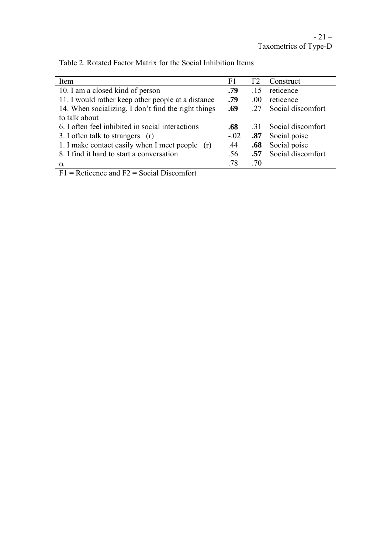| Item                                                | F1     | F <sub>2</sub> | Construct         |
|-----------------------------------------------------|--------|----------------|-------------------|
| 10. I am a closed kind of person                    | .79    | .15            | reticence         |
| 11. I would rather keep other people at a distance  | .79    | .00.           | reticence         |
| 14. When socializing, I don't find the right things |        | 27             | Social discomfort |
| to talk about                                       |        |                |                   |
| 6. I often feel inhibited in social interactions    | .68    | 31             | Social discomfort |
| 3. I often talk to strangers (r)                    | $-.02$ | .87            | Social poise      |
| 1. I make contact easily when I meet people (r)     | .44    | .68            | Social poise      |
| 8. I find it hard to start a conversation           | .56    | .57            | Social discomfort |
|                                                     | .78    | .70            |                   |
| $\sim$ $\sim$ $\sim$ $\sim$                         |        |                |                   |

Table 2. Rotated Factor Matrix for the Social Inhibition Items

 $F1$  = Reticence and  $F2$  = Social Discomfort